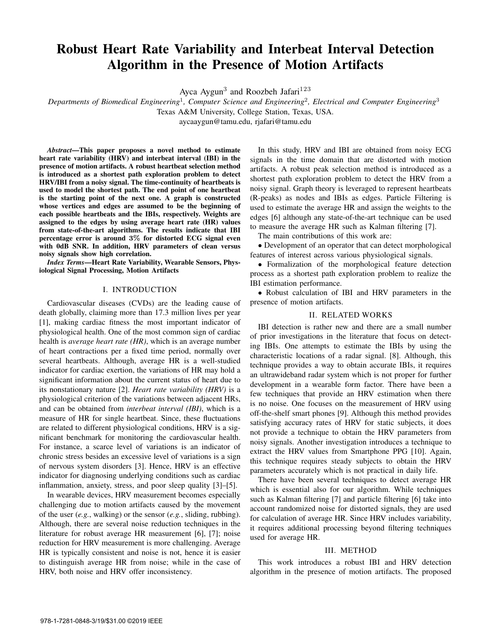# Robust Heart Rate Variability and Interbeat Interval Detection Algorithm in the Presence of Motion Artifacts

Ayca Aygun<sup>3</sup> and Roozbeh Jafari<sup>123</sup>

*Departments of Biomedical Engineering*<sup>1</sup>*, Computer Science and Engineering*<sup>2</sup>*, Electrical and Computer Engineering*<sup>3</sup>

Texas A&M University, College Station, Texas, USA.

aycaaygun@tamu.edu, rjafari@tamu.edu

*Abstract*—This paper proposes a novel method to estimate heart rate variability (HRV) and interbeat interval (IBI) in the presence of motion artifacts. A robust heartbeat selection method is introduced as a shortest path exploration problem to detect HRV/IBI from a noisy signal. The time-continuity of heartbeats is used to model the shortest path. The end point of one heartbeat is the starting point of the next one. A graph is constructed whose vertices and edges are assumed to be the beginning of each possible heartbeats and the IBIs, respectively. Weights are assigned to the edges by using average heart rate (HR) values from state-of-the-art algorithms. The results indicate that IBI percentage error is around **3%** for distorted ECG signal even with 0dB SNR. In addition, HRV parameters of clean versus noisy signals show high correlation.

*Index Terms*—Heart Rate Variability, Wearable Sensors, Physiological Signal Processing, Motion Artifacts

#### I. INTRODUCTION

Cardiovascular diseases (CVDs) are the leading cause of death globally, claiming more than 17.3 million lives per year [1], making cardiac fitness the most important indicator of physiological health. One of the most common sign of cardiac health is *average heart rate (HR)*, which is an average number of heart contractions per a fixed time period, normally over several heartbeats. Although, average HR is a well-studied indicator for cardiac exertion, the variations of HR may hold a significant information about the current status of heart due to its nonstationary nature [2]. *Heart rate variability (HRV)* is a physiological criterion of the variations between adjacent HRs, and can be obtained from *interbeat interval (IBI)*, which is a measure of HR for single heartbeat. Since, these fluctuations are related to different physiological conditions, HRV is a significant benchmark for monitoring the cardiovascular health. For instance, a scarce level of variations is an indicator of chronic stress besides an excessive level of variations is a sign of nervous system disorders [3]. Hence, HRV is an effective indicator for diagnosing underlying conditions such as cardiac inflammation, anxiety, stress, and poor sleep quality [3]–[5].

In wearable devices, HRV measurement becomes especially challenging due to motion artifacts caused by the movement of the user (*e.g.*, walking) or the sensor (*e.g.*, sliding, rubbing). Although, there are several noise reduction techniques in the literature for robust average HR measurement [6], [7]; noise reduction for HRV measurement is more challenging. Average HR is typically consistent and noise is not, hence it is easier to distinguish average HR from noise; while in the case of HRV, both noise and HRV offer inconsistency.

In this study, HRV and IBI are obtained from noisy ECG signals in the time domain that are distorted with motion artifacts. A robust peak selection method is introduced as a shortest path exploration problem to detect the HRV from a noisy signal. Graph theory is leveraged to represent heartbeats (R-peaks) as nodes and IBIs as edges. Particle Filtering is used to estimate the average HR and assign the weights to the edges [6] although any state-of-the-art technique can be used to measure the average HR such as Kalman filtering [7].

The main contributions of this work are:

• Development of an operator that can detect morphological features of interest across various physiological signals.

• Formalization of the morphological feature detection process as a shortest path exploration problem to realize the IBI estimation performance.

• Robust calculation of IBI and HRV parameters in the presence of motion artifacts.

#### II. RELATED WORKS

IBI detection is rather new and there are a small number of prior investigations in the literature that focus on detecting IBIs. One attempts to estimate the IBIs by using the characteristic locations of a radar signal. [8]. Although, this technique provides a way to obtain accurate IBIs, it requires an ultrawideband radar system which is not proper for further development in a wearable form factor. There have been a few techniques that provide an HRV estimation when there is no noise. One focuses on the measurement of HRV using off-the-shelf smart phones [9]. Although this method provides satisfying accuracy rates of HRV for static subjects, it does not provide a technique to obtain the HRV parameters from noisy signals. Another investigation introduces a technique to extract the HRV values from Smartphone PPG [10]. Again, this technique requires steady subjects to obtain the HRV parameters accurately which is not practical in daily life.

There have been several techniques to detect average HR which is essential also for our algorithm. While techniques such as Kalman filtering [7] and particle filtering [6] take into account randomized noise for distorted signals, they are used for calculation of average HR. Since HRV includes variability, it requires additional processing beyond filtering techniques used for average HR.

### III. METHOD

This work introduces a robust IBI and HRV detection algorithm in the presence of motion artifacts. The proposed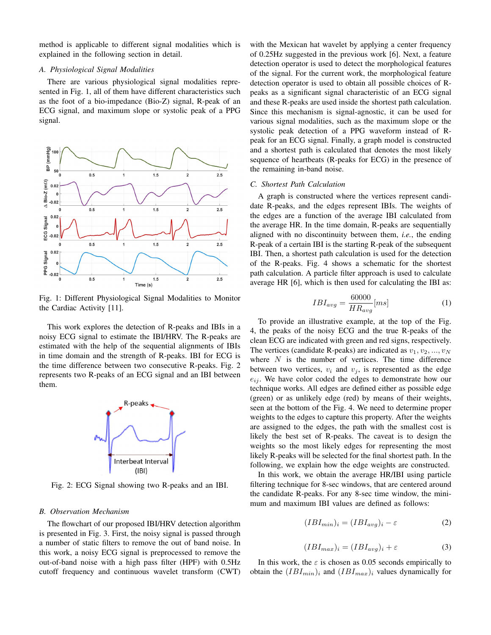method is applicable to different signal modalities which is explained in the following section in detail.

## *A. Physiological Signal Modalities*

There are various physiological signal modalities represented in Fig. 1, all of them have different characteristics such as the foot of a bio-impedance (Bio-Z) signal, R-peak of an ECG signal, and maximum slope or systolic peak of a PPG signal.



Fig. 1: Different Physiological Signal Modalities to Monitor the Cardiac Activity [11].

This work explores the detection of R-peaks and IBIs in a noisy ECG signal to estimate the IBI/HRV. The R-peaks are estimated with the help of the sequential alignments of IBIs in time domain and the strength of R-peaks. IBI for ECG is the time difference between two consecutive R-peaks. Fig. 2 represents two R-peaks of an ECG signal and an IBI between them.



Fig. 2: ECG Signal showing two R-peaks and an IBI.

## *B. Observation Mechanism*

The flowchart of our proposed IBI/HRV detection algorithm is presented in Fig. 3. First, the noisy signal is passed through a number of static filters to remove the out of band noise. In this work, a noisy ECG signal is preprocessed to remove the out-of-band noise with a high pass filter (HPF) with 0.5Hz cutoff frequency and continuous wavelet transform (CWT) with the Mexican hat wavelet by applying a center frequency of 0.25Hz suggested in the previous work [6]. Next, a feature detection operator is used to detect the morphological features of the signal. For the current work, the morphological feature detection operator is used to obtain all possible choices of Rpeaks as a significant signal characteristic of an ECG signal and these R-peaks are used inside the shortest path calculation. Since this mechanism is signal-agnostic, it can be used for various signal modalities, such as the maximum slope or the systolic peak detection of a PPG waveform instead of Rpeak for an ECG signal. Finally, a graph model is constructed and a shortest path is calculated that denotes the most likely sequence of heartbeats (R-peaks for ECG) in the presence of the remaining in-band noise.

#### *C. Shortest Path Calculation*

A graph is constructed where the vertices represent candidate R-peaks, and the edges represent IBIs. The weights of the edges are a function of the average IBI calculated from the average HR. In the time domain, R-peaks are sequentially aligned with no discontinuity between them, *i.e.*, the ending R-peak of a certain IBI is the starting R-peak of the subsequent IBI. Then, a shortest path calculation is used for the detection of the R-peaks. Fig. 4 shows a schematic for the shortest path calculation. A particle filter approach is used to calculate average HR [6], which is then used for calculating the IBI as:

$$
IBI_{avg} = \frac{60000}{HR_{avg}} [ms]
$$
 (1)

To provide an illustrative example, at the top of the Fig. 4, the peaks of the noisy ECG and the true R-peaks of the clean ECG are indicated with green and red signs, respectively. The vertices (candidate R-peaks) are indicated as  $v_1, v_2, ..., v_N$ where  $N$  is the number of vertices. The time difference between two vertices,  $v_i$  and  $v_j$ , is represented as the edge  $e_{ij}$ . We have color coded the edges to demonstrate how our technique works. All edges are defined either as possible edge (green) or as unlikely edge (red) by means of their weights, seen at the bottom of the Fig. 4. We need to determine proper weights to the edges to capture this property. After the weights are assigned to the edges, the path with the smallest cost is likely the best set of R-peaks. The caveat is to design the weights so the most likely edges for representing the most likely R-peaks will be selected for the final shortest path. In the following, we explain how the edge weights are constructed.

In this work, we obtain the average HR/IBI using particle filtering technique for 8-sec windows, that are centered around the candidate R-peaks. For any 8-sec time window, the minimum and maximum IBI values are defined as follows:

$$
(IBI_{min})_i = (IBI_{avg})_i - \varepsilon \tag{2}
$$

$$
(IBI_{max})_i = (IBI_{avg})_i + \varepsilon \tag{3}
$$

In this work, the  $\varepsilon$  is chosen as 0.05 seconds empirically to obtain the  $(IBI_{min})_i$  and  $(IBI_{max})_i$  values dynamically for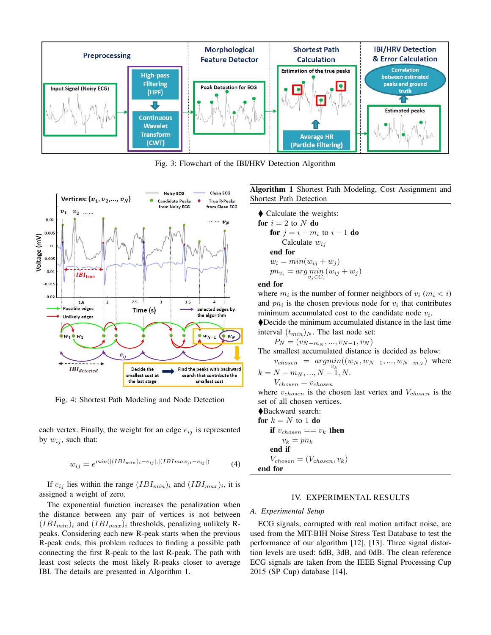

Fig. 3: Flowchart of the IBI/HRV Detection Algorithm



Fig. 4: Shortest Path Modeling and Node Detection

each vertex. Finally, the weight for an edge  $e_{ij}$  is represented by  $w_{ij}$ , such that:

$$
w_{ij} = e^{min(|(IBI_{min})_i - e_{ij}|, |(IBI_{max})_i - e_{ij}|)}
$$
(4)

If  $e_{ij}$  lies within the range  $(IBI_{min})_i$  and  $(IBI_{max})_i$ , it is assigned a weight of zero.

The exponential function increases the penalization when the distance between any pair of vertices is not between  $(IBI_{min})$ <sub>i</sub> and  $(IBI_{max})$ <sub>i</sub> thresholds, penalizing unlikely Rpeaks. Considering each new R-peak starts when the previous R-peak ends, this problem reduces to finding a possible path connecting the first R-peak to the last R-peak. The path with least cost selects the most likely R-peaks closer to average IBI. The details are presented in Algorithm 1.

Algorithm 1 Shortest Path Modeling, Cost Assignment and Shortest Path Detection

- Calculate the weights: for  $i = 2$  to N do for  $j = i - m_i$  to  $i - 1$  do Calculate  $w_{ij}$ end for

$$
w_i = min(w_{ij} + w_j)
$$
  
\n
$$
pn_{v_i} = arg\min_{v_j \in C_i} (w_{ij} + w_j)
$$
  
\nfor

#### end for

where  $m_i$  is the number of former neighbors of  $v_i$  ( $m_i < i$ ) and  $pn_i$  is the chosen previous node for  $v_i$  that contributes minimum accumulated cost to the candidate node  $v_i$ .

-Decide the minimum accumulated distance in the last time interval  $(t_{min})_N$ . The last node set:

$$
P_N = (v_{N-m_N}, ..., v_{N-1}, v_N)
$$

 $P_N = (v_{N-m_N}, ..., v_{N-1}, v_N)$ <br>The smallest accumulated distance is decided as below:

 $v_{chosen} = argmin((w_N, w_{N-1}, ..., w_{N-m_N}))$  where<br>  $N - m_N, \quad N - 1, N$ 

$$
k = N - m_N, ..., N - 1, N.
$$
  
\n
$$
V_{chosen} = v_{chosen}
$$
  
\nwhere  $v \cdot$  is the chosen

where  $v_{chosen}$  is the chosen last vertex and  $V_{chosen}$  is the set of all chosen vertices set of all chosen vertices.

-Backward search: for  $k = N$  to 1 do if  $v_{chosen} == v_k$  then  $v_k = pn_k$ end if  $V_{chosen} = (V_{chosen}, v_k)$ end for

# IV. EXPERIMENTAL RESULTS

#### *A. Experimental Setup*

ECG signals, corrupted with real motion artifact noise, are used from the MIT-BIH Noise Stress Test Database to test the performance of our algorithm [12], [13]. Three signal distortion levels are used: 6dB, 3dB, and 0dB. The clean reference ECG signals are taken from the IEEE Signal Processing Cup 2015 (SP Cup) database [14].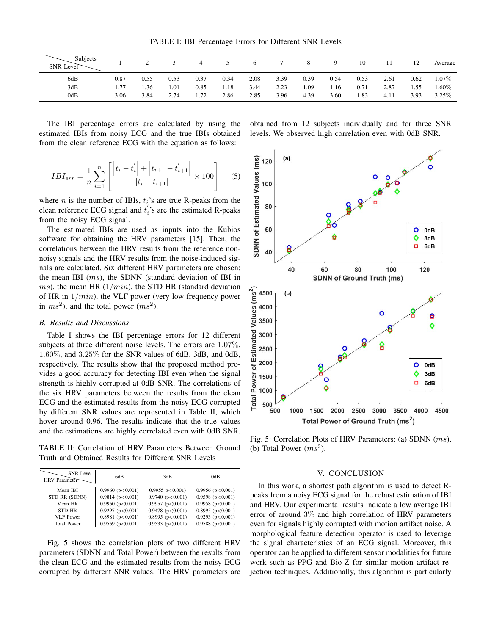TABLE I: IBI Percentage Errors for Different SNR Levels

| Subjects<br>SNR Level |      | ∸    |      |      |      |      |      |      |      | 10   |      | 12   | Average  |
|-----------------------|------|------|------|------|------|------|------|------|------|------|------|------|----------|
| 6dB                   | 0.87 | 0.55 | 0.53 | 0.37 | 0.34 | 2.08 | 3.39 | 0.39 | 0.54 | 0.53 | 2.61 | 0.62 | 1.07%    |
| 3dB                   | 1.77 | 1.36 | 1.01 | 0.85 | 1.18 | 3.44 | 2.23 | 1.09 | 1.16 | 0.71 | 2.87 | 1.55 | $1.60\%$ |
| 0dB                   | 3.06 | 3.84 | 2.74 | 1.72 | 2.86 | 2.85 | 3.96 | 4.39 | 3.60 | 1.83 | 4.11 | 3.93 | 3.25%    |

The IBI percentage errors are calculated by using the estimated IBIs from noisy ECG and the true IBIs obtained from the clean reference ECG with the equation as follows:

$$
IBI_{err} = \frac{1}{n} \sum_{i=1}^{n} \left[ \frac{\left| t_i - t'_i \right| + \left| t_{i+1} - t'_{i+1} \right|}{\left| t_i - t_{i+1} \right|} \times 100 \right] \tag{5}
$$

where *n* is the number of IBIs,  $t_i$ 's are true R-peaks from the clean reference ECG signal and  $t_i$ 's are the estimated R-peaks<br>from the noisy ECG signal from the noisy ECG signal.

The estimated IBIs are used as inputs into the Kubios software for obtaining the HRV parameters [15]. Then, the correlations between the HRV results from the reference nonnoisy signals and the HRV results from the noise-induced signals are calculated. Six different HRV parameters are chosen: the mean IBI (ms), the SDNN (standard deviation of IBI in ms), the mean HR  $(1/min)$ , the STD HR (standard deviation of HR in  $1/min$ , the VLF power (very low frequency power in  $ms^2$ ), and the total power  $(ms^2)$ .

#### *B. Results and Discussions*

Table I shows the IBI percentage errors for 12 different subjects at three different noise levels. The errors are <sup>1</sup>.07%, <sup>1</sup>.60%, and <sup>3</sup>.25% for the SNR values of 6dB, 3dB, and 0dB, respectively. The results show that the proposed method provides a good accuracy for detecting IBI even when the signal strength is highly corrupted at 0dB SNR. The correlations of the six HRV parameters between the results from the clean ECG and the estimated results from the noisy ECG corrupted by different SNR values are represented in Table II, which hover around 0.96. The results indicate that the true values and the estimations are highly correlated even with 0dB SNR.

TABLE II: Correlation of HRV Parameters Between Ground Truth and Obtained Results for Different SNR Levels

| <b>SNR</b> Level<br>HRV Parameter | 6dB                    | 3dB                     | 0dB                    |
|-----------------------------------|------------------------|-------------------------|------------------------|
| Mean IBI                          | 0.9960(p<0.001)        | $0.9955$ p $< 0.001$ )  | 0.9956 ( $p<0.001$ )   |
| STD RR (SDNN)                     | $0.9814$ ( $p<0.001$ ) | $0.9740$ ( $p<0.001$ )  | 0.9598(p<0.001)        |
| Mean HR                           | 0.9960(p<0.001)        | $0.9957$ ( $p<0.001$ )  | 0.9958 ( $p<0.001$ )   |
| <b>STD HR</b>                     | $0.9297$ ( $p<0.001$ ) | $0.9478$ ( $p<0.001$ )  | 0.8995(p<0.001)        |
| <b>VLF</b> Power                  | $0.8981$ ( $p<0.001$ ) | $0.8995$ (p $< 0.001$ ) | $0.9293$ ( $p<0.001$ ) |
| <b>Total Power</b>                | $0.9569$ ( $p<0.001$ ) | 0.9533(p<0.001)         | 0.9588(p<0.001)        |

Fig. 5 shows the correlation plots of two different HRV parameters (SDNN and Total Power) between the results from the clean ECG and the estimated results from the noisy ECG corrupted by different SNR values. The HRV parameters are obtained from 12 subjects individually and for three SNR levels. We observed high correlation even with 0dB SNR.



Fig. 5: Correlation Plots of HRV Parameters: (a) SDNN (ms), (b) Total Power  $(ms^2)$ .

#### V. CONCLUSION

In this work, a shortest path algorithm is used to detect Rpeaks from a noisy ECG signal for the robust estimation of IBI and HRV. Our experimental results indicate a low average IBI error of around 3% and high correlation of HRV parameters even for signals highly corrupted with motion artifact noise. A morphological feature detection operator is used to leverage the signal characteristics of an ECG signal. Moreover, this operator can be applied to different sensor modalities for future work such as PPG and Bio-Z for similar motion artifact rejection techniques. Additionally, this algorithm is particularly